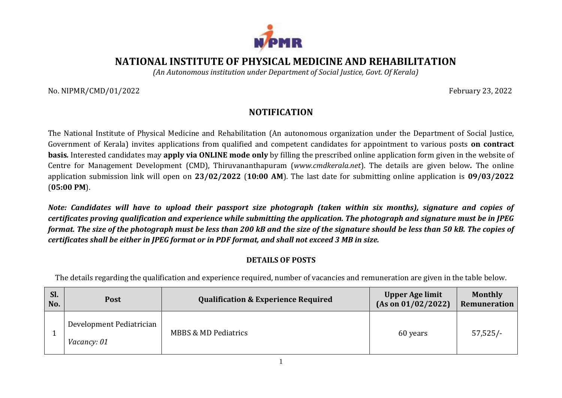

## **NATIONAL INSTITUTE OF PHYSICAL MEDICINE AND REHABILITATION**

*(An Autonomous institution under Department of Social Justice, Govt. Of Kerala)*

No. NIPMR/CMD/01/2022 February 23, 2022

## **NOTIFICATION**

The National Institute of Physical Medicine and Rehabilitation (An autonomous organization under the Department of Social Justice, Government of Kerala) invites applications from qualified and competent candidates for appointment to various posts **on contract basis***.* Interested candidates may **apply via ONLINE mode only** by filling the prescribed online application form given in the website of Centre for Management Development (CMD), Thiruvananthapuram (*[www.cmdkerala.net](http://www.cmdkerala.net/)*). The details are given below*.* The online application submission link will open on **23/02/2022** (**10:00 AM**). The last date for submitting online application is **09/03/2022** (**05:00 PM**).

*Note: Candidates will have to upload their passport size photograph (taken within six months), signature and copies of certificates proving qualification and experience while submitting the application. The photograph and signature must be in JPEG format. The size of the photograph must be less than 200 kB and the size of the signature should be less than 50 kB. The copies of certificates shall be either in JPEG format or in PDF format, and shall not exceed 3 MB in size.*

## **DETAILS OF POSTS**

The details regarding the qualification and experience required, number of vacancies and remuneration are given in the table below.

| Sl.<br>No. | <b>Post</b>                                    | <b>Qualification &amp; Experience Required</b> | <b>Upper Age limit</b><br>(As on 01/02/2022) | <b>Monthly</b><br>Remuneration |
|------------|------------------------------------------------|------------------------------------------------|----------------------------------------------|--------------------------------|
|            | Development Pediatrician<br><i>Vacancy: 01</i> | <b>MBBS &amp; MD Pediatrics</b>                | 60 years                                     | $57,525/-$                     |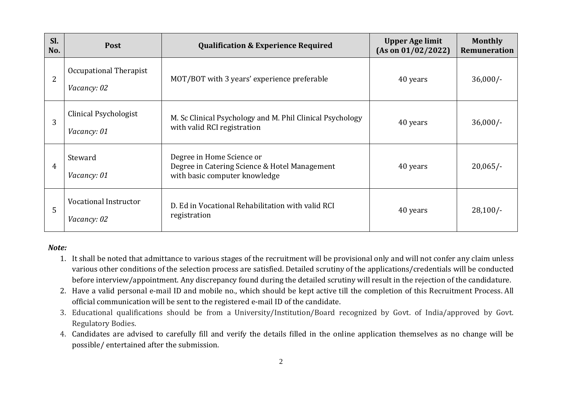| Sl.<br>No. | <b>Post</b>                           | <b>Qualification &amp; Experience Required</b>                                                              | <b>Upper Age limit</b><br>(As on 01/02/2022) | <b>Monthly</b><br><b>Remuneration</b> |
|------------|---------------------------------------|-------------------------------------------------------------------------------------------------------------|----------------------------------------------|---------------------------------------|
| 2          | Occupational Therapist<br>Vacancy: 02 | MOT/BOT with 3 years' experience preferable                                                                 | 40 years                                     | $36,000/-$                            |
| 3          | Clinical Psychologist<br>Vacancy: 01  | M. Sc Clinical Psychology and M. Phil Clinical Psychology<br>with valid RCI registration                    | 40 years                                     | $36,000/-$                            |
| 4          | Steward<br>Vacancy: 01                | Degree in Home Science or<br>Degree in Catering Science & Hotel Management<br>with basic computer knowledge | 40 years                                     | $20,065/-$                            |
| 5          | Vocational Instructor<br>Vacancy: 02  | D. Ed in Vocational Rehabilitation with valid RCI<br>registration                                           | 40 years                                     | $28,100/-$                            |

## *Note:*

- 1. It shall be noted that admittance to various stages of the recruitment will be provisional only and will not confer any claim unless various other conditions of the selection process are satisfied. Detailed scrutiny of the applications/credentials will be conducted before interview/appointment. Any discrepancy found during the detailed scrutiny will result in the rejection of the candidature.
- 2. Have a valid personal e-mail ID and mobile no., which should be kept active till the completion of this Recruitment Process. All official communication will be sent to the registered e-mail ID of the candidate.
- 3. Educational qualifications should be from a University/Institution/Board recognized by Govt. of India/approved by Govt. Regulatory Bodies.
- 4. Candidates are advised to carefully fill and verify the details filled in the online application themselves as no change will be possible/ entertained after the submission.